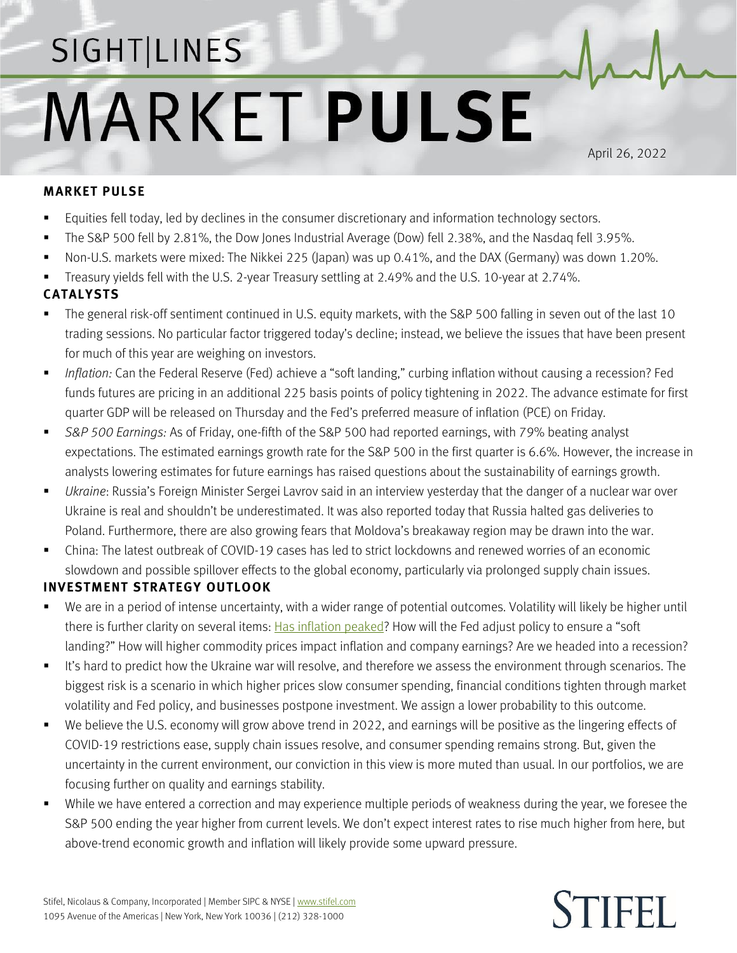## SIGHT LINES **MARKET PULSE**

April 26, 2022

## **MARKET PULSE**

- Equities fell today, led by declines in the consumer discretionary and information technology sectors.
- The S&P 500 fell by 2.81%, the Dow Jones Industrial Average (Dow) fell 2.38%, and the Nasdaq fell 3.95%.
- Non-U.S. markets were mixed: The Nikkei 225 (Japan) was up 0.41%, and the DAX (Germany) was down 1.20%.
- Treasury yields fell with the U.S. 2-year Treasury settling at 2.49% and the U.S. 10-year at 2.74%.

## **CATALYSTS**

- The general risk-off sentiment continued in U.S. equity markets, with the S&P 500 falling in seven out of the last 10 trading sessions. No particular factor triggered today's decline; instead, we believe the issues that have been present for much of this year are weighing on investors.
- *Inflation:* Can the Federal Reserve (Fed) achieve a "soft landing," curbing inflation without causing a recession? Fed funds futures are pricing in an additional 225 basis points of policy tightening in 2022. The advance estimate for first quarter GDP will be released on Thursday and the Fed's preferred measure of inflation (PCE) on Friday.
- *S&P 500 Earnings:* As of Friday, one-fifth of the S&P 500 had reported earnings, with 79% beating analyst expectations. The estimated earnings growth rate for the S&P 500 in the first quarter is 6.6%. However, the increase in analysts lowering estimates for future earnings has raised questions about the sustainability of earnings growth.
- *Ukraine*: Russia's Foreign Minister Sergei Lavrov said in an interview yesterday that the danger of a nuclear war over Ukraine is real and shouldn't be underestimated. It was also reported today that Russia halted gas deliveries to Poland. Furthermore, there are also growing fears that Moldova's breakaway region may be drawn into the war.
- China: The latest outbreak of COVID-19 cases has led to strict lockdowns and renewed worries of an economic slowdown and possible spillover effects to the global economy, particularly via prolonged supply chain issues.

## **INVESTMENT STRATEGY OUTLOOK**

- We are in a period of intense uncertainty, with a wider range of potential outcomes. Volatility will likely be higher until there is further clarity on several items: [Has inflation peaked?](https://www.stifel.com/Newsletters/AdGraphics/InSight/Sightlines/2022/SL042222.pdf) How will the Fed adjust policy to ensure a "soft landing?" How will higher commodity prices impact inflation and company earnings? Are we headed into a recession?
- It's hard to predict how the Ukraine war will resolve, and therefore we assess the environment through scenarios. The biggest risk is a scenario in which higher prices slow consumer spending, financial conditions tighten through market volatility and Fed policy, and businesses postpone investment. We assign a lower probability to this outcome.
- We believe the U.S. economy will grow above trend in 2022, and earnings will be positive as the lingering effects of COVID-19 restrictions ease, supply chain issues resolve, and consumer spending remains strong. But, given the uncertainty in the current environment, our conviction in this view is more muted than usual. In our portfolios, we are focusing further on quality and earnings stability.
- While we have entered a correction and may experience multiple periods of weakness during the year, we foresee the S&P 500 ending the year higher from current levels. We don't expect interest rates to rise much higher from here, but above-trend economic growth and inflation will likely provide some upward pressure.